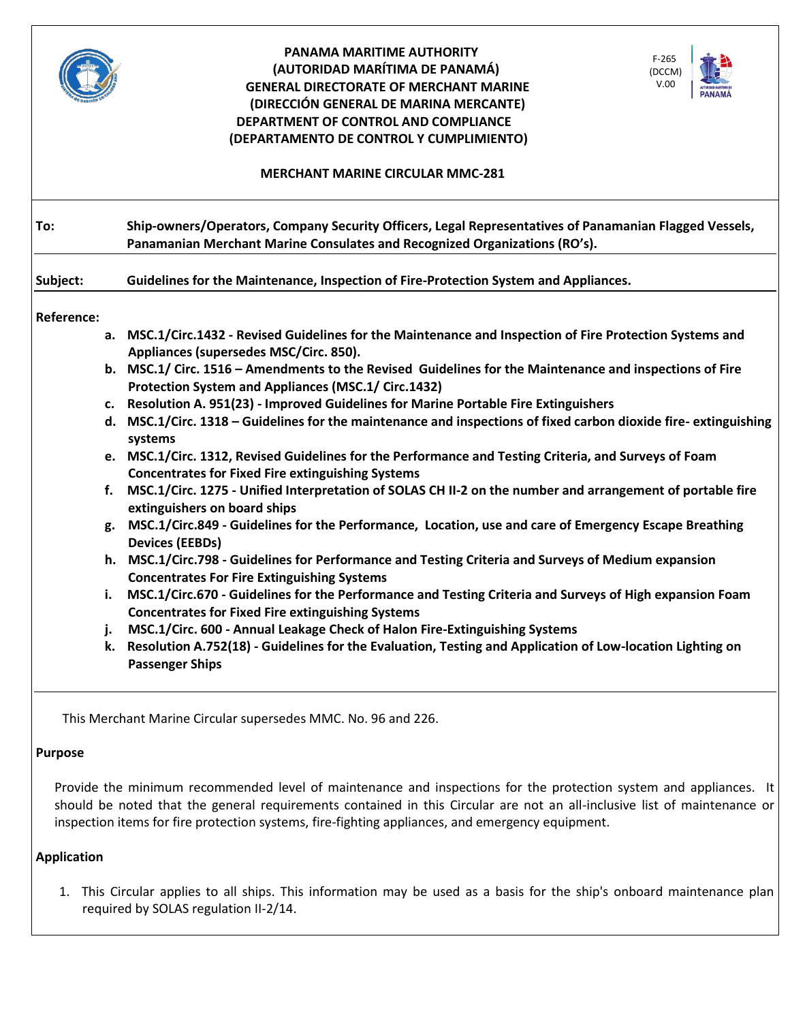|                   | PANAMA MARITIME AUTHORITY<br>$F-265$<br>(AUTORIDAD MARÍTIMA DE PANAMÁ)<br>(DCCM)<br>V.00<br><b>GENERAL DIRECTORATE OF MERCHANT MARINE</b><br>(DIRECCIÓN GENERAL DE MARINA MERCANTE)<br>DEPARTMENT OF CONTROL AND COMPLIANCE<br>(DEPARTAMENTO DE CONTROL Y CUMPLIMIENTO)<br><b>MERCHANT MARINE CIRCULAR MMC-281</b> |
|-------------------|--------------------------------------------------------------------------------------------------------------------------------------------------------------------------------------------------------------------------------------------------------------------------------------------------------------------|
|                   |                                                                                                                                                                                                                                                                                                                    |
| To:               | Ship-owners/Operators, Company Security Officers, Legal Representatives of Panamanian Flagged Vessels,<br>Panamanian Merchant Marine Consulates and Recognized Organizations (RO's).                                                                                                                               |
| Subject:          | Guidelines for the Maintenance, Inspection of Fire-Protection System and Appliances.                                                                                                                                                                                                                               |
| <b>Reference:</b> |                                                                                                                                                                                                                                                                                                                    |
|                   | a. MSC.1/Circ.1432 - Revised Guidelines for the Maintenance and Inspection of Fire Protection Systems and<br>Appliances (supersedes MSC/Circ. 850).                                                                                                                                                                |
|                   | b. MSC.1/ Circ. 1516 - Amendments to the Revised Guidelines for the Maintenance and inspections of Fire<br>Protection System and Appliances (MSC.1/ Circ.1432)                                                                                                                                                     |
|                   | c. Resolution A. 951(23) - Improved Guidelines for Marine Portable Fire Extinguishers                                                                                                                                                                                                                              |
|                   | d. MSC.1/Circ. 1318 – Guidelines for the maintenance and inspections of fixed carbon dioxide fire-extinguishing<br>systems                                                                                                                                                                                         |
|                   | e. MSC.1/Circ. 1312, Revised Guidelines for the Performance and Testing Criteria, and Surveys of Foam<br><b>Concentrates for Fixed Fire extinguishing Systems</b>                                                                                                                                                  |
| f.                | MSC.1/Circ. 1275 - Unified Interpretation of SOLAS CH II-2 on the number and arrangement of portable fire<br>extinguishers on board ships                                                                                                                                                                          |
|                   | g. MSC.1/Circ.849 - Guidelines for the Performance, Location, use and care of Emergency Escape Breathing<br><b>Devices (EEBDs)</b>                                                                                                                                                                                 |
|                   | h. MSC.1/Circ.798 - Guidelines for Performance and Testing Criteria and Surveys of Medium expansion<br><b>Concentrates For Fire Extinguishing Systems</b>                                                                                                                                                          |
| i.                | MSC.1/Circ.670 - Guidelines for the Performance and Testing Criteria and Surveys of High expansion Foam<br><b>Concentrates for Fixed Fire extinguishing Systems</b>                                                                                                                                                |
| j.                | MSC.1/Circ. 600 - Annual Leakage Check of Halon Fire-Extinguishing Systems                                                                                                                                                                                                                                         |
|                   | k. Resolution A.752(18) - Guidelines for the Evaluation, Testing and Application of Low-location Lighting on<br><b>Passenger Ships</b>                                                                                                                                                                             |

This Merchant Marine Circular supersedes MMC. No. 96 and 226.

# **Purpose**

Provide the minimum recommended level of maintenance and inspections for the protection system and appliances. It should be noted that the general requirements contained in this Circular are not an all-inclusive list of maintenance or inspection items for fire protection systems, fire-fighting appliances, and emergency equipment.

## **Application**

1. This Circular applies to all ships. This information may be used as a basis for the ship's onboard maintenance plan required by SOLAS regulation II-2/14.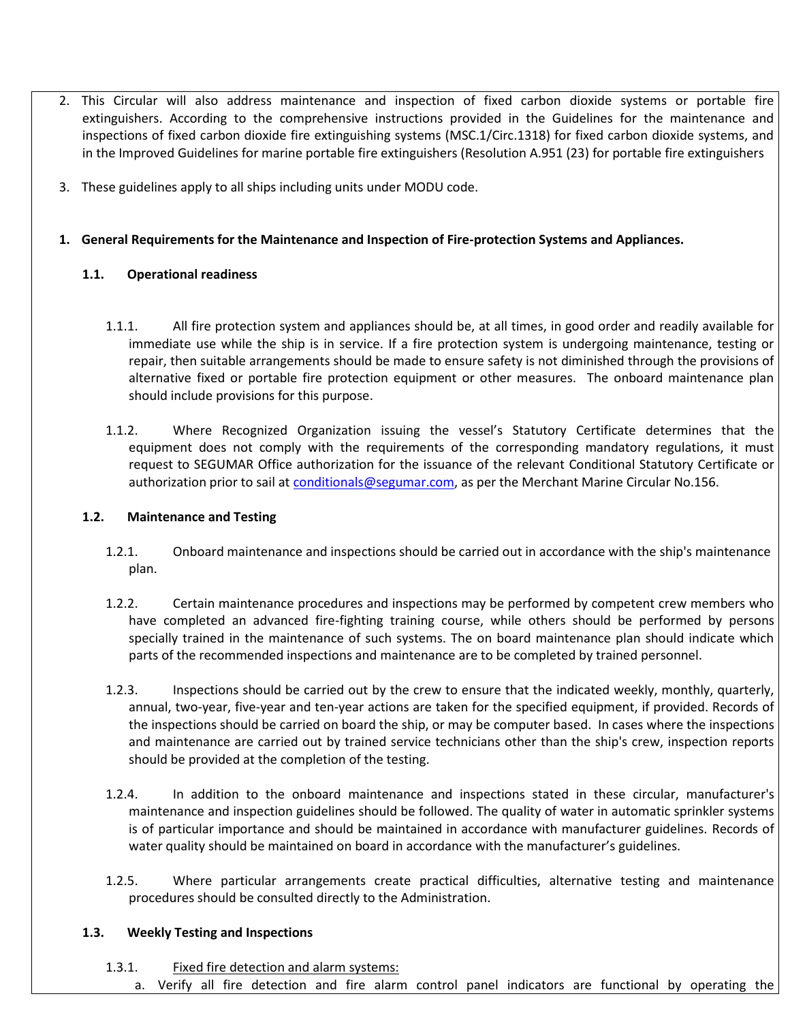- 2. This Circular will also address maintenance and inspection of fixed carbon dioxide systems or portable fire extinguishers. According to the comprehensive instructions provided in the Guidelines for the maintenance and inspections of fixed carbon dioxide fire extinguishing systems (MSC.1/Circ.1318) for fixed carbon dioxide systems, and in the Improved Guidelines for marine portable fire extinguishers (Resolution A.951 (23) for portable fire extinguishers
- 3. These guidelines apply to all ships including units under MODU code.

# **1. General Requirements for the Maintenance and Inspection of Fire-protection Systems and Appliances.**

# **1.1. Operational readiness**

- 1.1.1. All fire protection system and appliances should be, at all times, in good order and readily available for immediate use while the ship is in service. If a fire protection system is undergoing maintenance, testing or repair, then suitable arrangements should be made to ensure safety is not diminished through the provisions of alternative fixed or portable fire protection equipment or other measures. The onboard maintenance plan should include provisions for this purpose.
- 1.1.2. Where Recognized Organization issuing the vessel's Statutory Certificate determines that the equipment does not comply with the requirements of the corresponding mandatory regulations, it must request to SEGUMAR Office authorization for the issuance of the relevant Conditional Statutory Certificate or authorization prior to sail at [conditionals@segumar.com,](mailto:conditionals@segumar.com) as per the Merchant Marine Circular No.156.

## **1.2. Maintenance and Testing**

- 1.2.1. Onboard maintenance and inspections should be carried out in accordance with the ship's maintenance plan.
- 1.2.2. Certain maintenance procedures and inspections may be performed by competent crew members who have completed an advanced fire-fighting training course, while others should be performed by persons specially trained in the maintenance of such systems. The on board maintenance plan should indicate which parts of the recommended inspections and maintenance are to be completed by trained personnel.
- 1.2.3. Inspections should be carried out by the crew to ensure that the indicated weekly, monthly, quarterly, annual, two-year, five-year and ten-year actions are taken for the specified equipment, if provided. Records of the inspections should be carried on board the ship, or may be computer based. In cases where the inspections and maintenance are carried out by trained service technicians other than the ship's crew, inspection reports should be provided at the completion of the testing.
- 1.2.4. In addition to the onboard maintenance and inspections stated in these circular, manufacturer's maintenance and inspection guidelines should be followed. The quality of water in automatic sprinkler systems is of particular importance and should be maintained in accordance with manufacturer guidelines. Records of water quality should be maintained on board in accordance with the manufacturer's guidelines.
- 1.2.5. Where particular arrangements create practical difficulties, alternative testing and maintenance procedures should be consulted directly to the Administration.

## **1.3. Weekly Testing and Inspections**

## 1.3.1. Fixed fire detection and alarm systems:

a. Verify all fire detection and fire alarm control panel indicators are functional by operating the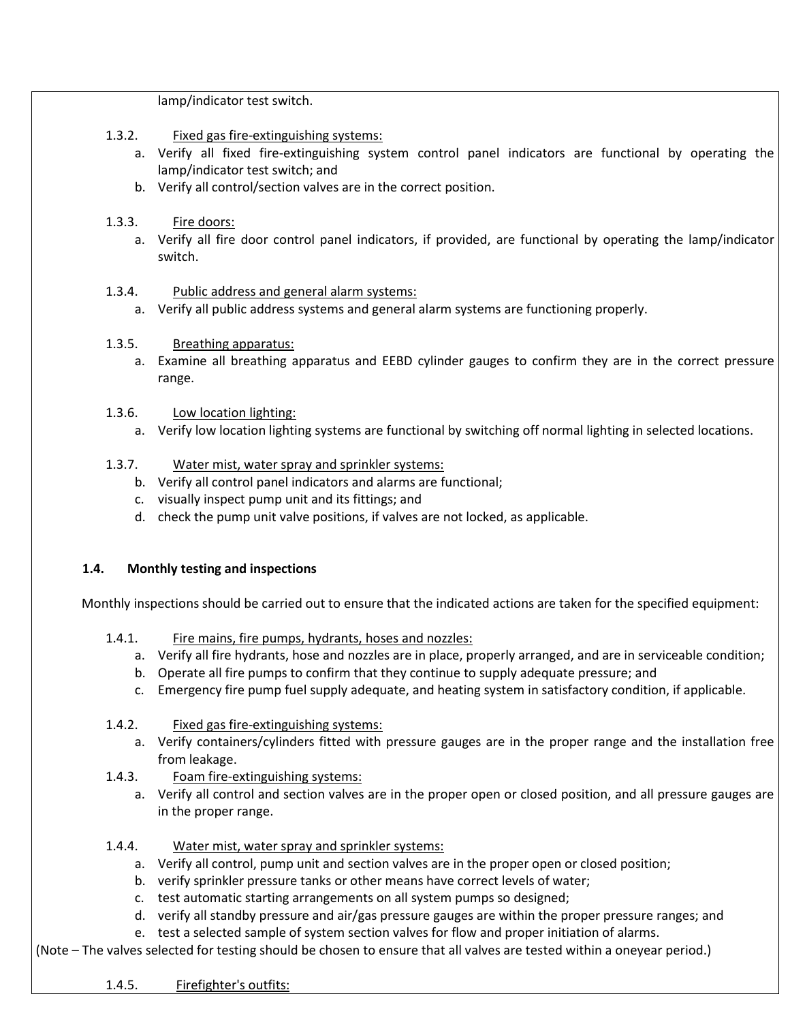lamp/indicator test switch.

- 1.3.2. Fixed gas fire-extinguishing systems:
	- a. Verify all fixed fire-extinguishing system control panel indicators are functional by operating the lamp/indicator test switch; and
	- b. Verify all control/section valves are in the correct position.
- 1.3.3. Fire doors:
	- a. Verify all fire door control panel indicators, if provided, are functional by operating the lamp/indicator switch.
- 1.3.4. Public address and general alarm systems:
	- a. Verify all public address systems and general alarm systems are functioning properly.
- 1.3.5. Breathing apparatus:
	- a. Examine all breathing apparatus and EEBD cylinder gauges to confirm they are in the correct pressure range.
- 1.3.6. Low location lighting:
	- a. Verify low location lighting systems are functional by switching off normal lighting in selected locations.
- 1.3.7. Water mist, water spray and sprinkler systems:
	- b. Verify all control panel indicators and alarms are functional;
	- c. visually inspect pump unit and its fittings; and
	- d. check the pump unit valve positions, if valves are not locked, as applicable.

#### **1.4. Monthly testing and inspections**

Monthly inspections should be carried out to ensure that the indicated actions are taken for the specified equipment:

- 1.4.1. Fire mains, fire pumps, hydrants, hoses and nozzles:
	- a. Verify all fire hydrants, hose and nozzles are in place, properly arranged, and are in serviceable condition;
	- b. Operate all fire pumps to confirm that they continue to supply adequate pressure; and
	- c. Emergency fire pump fuel supply adequate, and heating system in satisfactory condition, if applicable.
- 1.4.2. Fixed gas fire-extinguishing systems:
	- a. Verify containers/cylinders fitted with pressure gauges are in the proper range and the installation free from leakage.
- 1.4.3. Foam fire-extinguishing systems:
	- a. Verify all control and section valves are in the proper open or closed position, and all pressure gauges are in the proper range.
- 1.4.4. Water mist, water spray and sprinkler systems:
	- a. Verify all control, pump unit and section valves are in the proper open or closed position;
	- b. verify sprinkler pressure tanks or other means have correct levels of water;
	- c. test automatic starting arrangements on all system pumps so designed;
	- d. verify all standby pressure and air/gas pressure gauges are within the proper pressure ranges; and
	- e. test a selected sample of system section valves for flow and proper initiation of alarms.

(Note – The valves selected for testing should be chosen to ensure that all valves are tested within a oneyear period.)

1.4.5. Firefighter's outfits: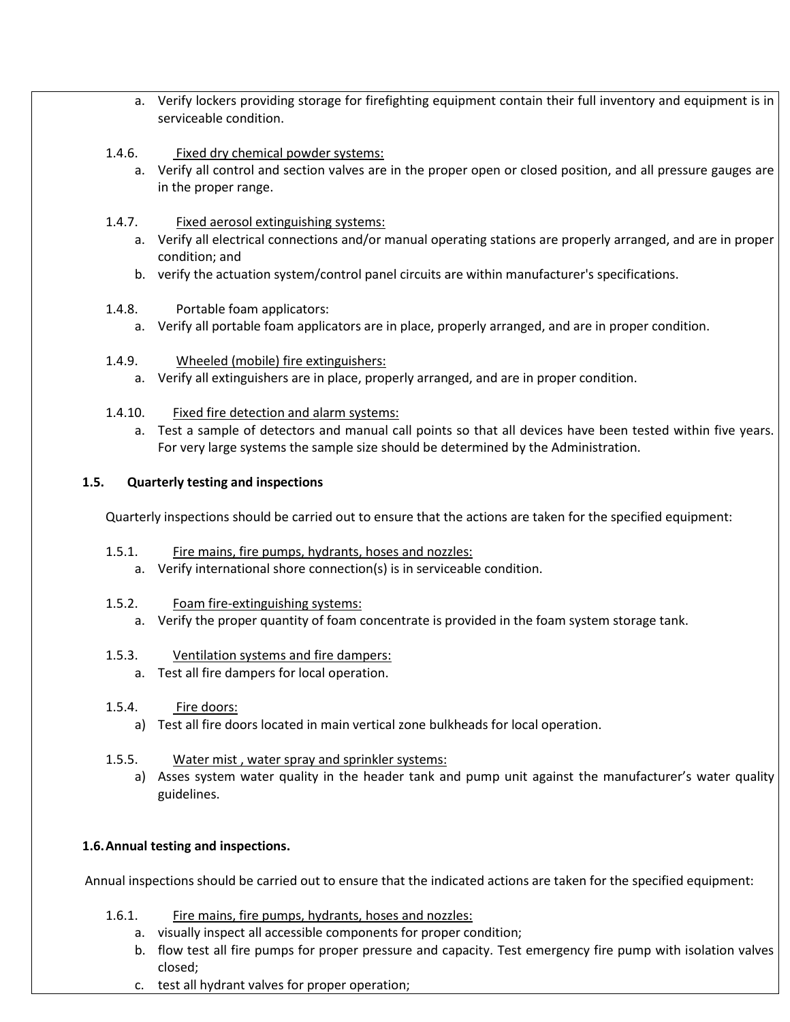- a. Verify lockers providing storage for firefighting equipment contain their full inventory and equipment is in serviceable condition.
- 1.4.6. Fixed dry chemical powder systems:
	- a. Verify all control and section valves are in the proper open or closed position, and all pressure gauges are in the proper range.
- 1.4.7. **Fixed aerosol extinguishing systems:** 
	- a. Verify all electrical connections and/or manual operating stations are properly arranged, and are in proper condition; and
	- b. verify the actuation system/control panel circuits are within manufacturer's specifications.
- 1.4.8. Portable foam applicators:
	- a. Verify all portable foam applicators are in place, properly arranged, and are in proper condition.
- 1.4.9. Wheeled (mobile) fire extinguishers:
	- a. Verify all extinguishers are in place, properly arranged, and are in proper condition.
- 1.4.10. Fixed fire detection and alarm systems:
	- a. Test a sample of detectors and manual call points so that all devices have been tested within five years. For very large systems the sample size should be determined by the Administration.

### **1.5. Quarterly testing and inspections**

Quarterly inspections should be carried out to ensure that the actions are taken for the specified equipment:

- 1.5.1. Fire mains, fire pumps, hydrants, hoses and nozzles:
	- a. Verify international shore connection(s) is in serviceable condition.
- 1.5.2. Foam fire-extinguishing systems:
	- a. Verify the proper quantity of foam concentrate is provided in the foam system storage tank.
- 1.5.3. Ventilation systems and fire dampers:
	- a. Test all fire dampers for local operation.
- 1.5.4. Fire doors:
	- a) Test all fire doors located in main vertical zone bulkheads for local operation.
- 1.5.5. Water mist , water spray and sprinkler systems:
	- a) Asses system water quality in the header tank and pump unit against the manufacturer's water quality guidelines.

## **1.6.Annual testing and inspections.**

Annual inspections should be carried out to ensure that the indicated actions are taken for the specified equipment:

- 1.6.1. Fire mains, fire pumps, hydrants, hoses and nozzles:
	- a. visually inspect all accessible components for proper condition;
	- b. flow test all fire pumps for proper pressure and capacity. Test emergency fire pump with isolation valves closed;
	- c. test all hydrant valves for proper operation;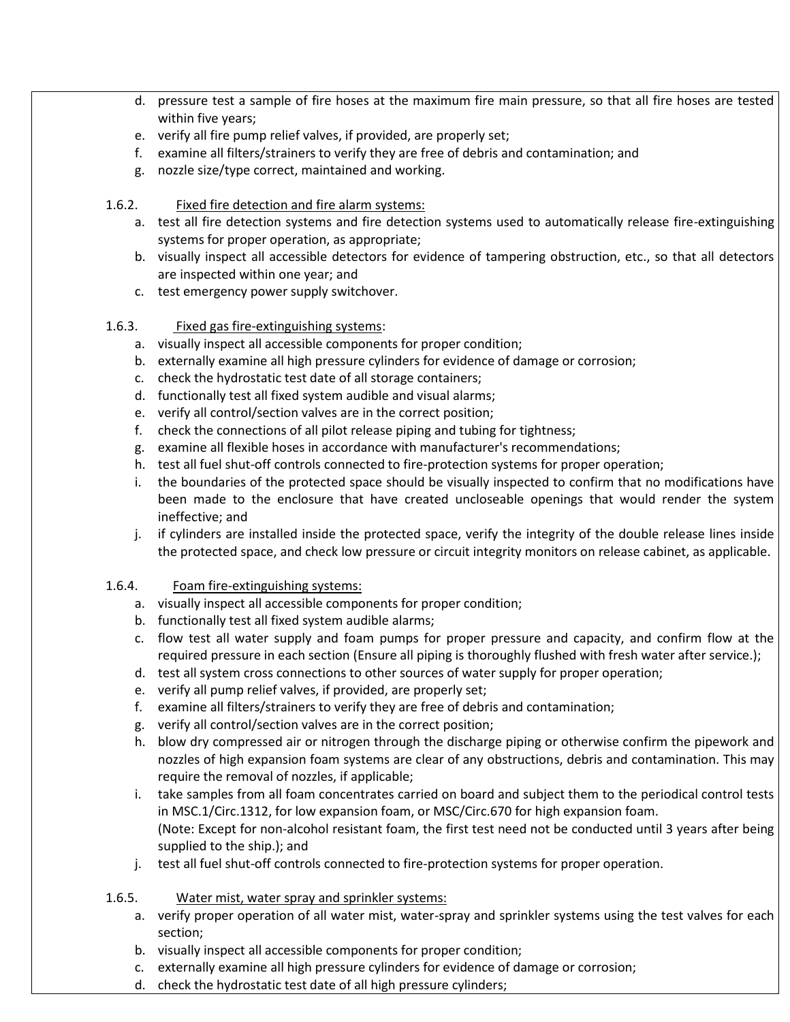- d. pressure test a sample of fire hoses at the maximum fire main pressure, so that all fire hoses are tested within five years;
- e. verify all fire pump relief valves, if provided, are properly set;
- f. examine all filters/strainers to verify they are free of debris and contamination; and
- g. nozzle size/type correct, maintained and working.
- 1.6.2. Fixed fire detection and fire alarm systems:
	- a. test all fire detection systems and fire detection systems used to automatically release fire-extinguishing systems for proper operation, as appropriate;
	- b. visually inspect all accessible detectors for evidence of tampering obstruction, etc., so that all detectors are inspected within one year; and
	- c. test emergency power supply switchover.
- 1.6.3. Fixed gas fire-extinguishing systems:
	- a. visually inspect all accessible components for proper condition;
	- b. externally examine all high pressure cylinders for evidence of damage or corrosion;
	- c. check the hydrostatic test date of all storage containers;
	- d. functionally test all fixed system audible and visual alarms;
	- e. verify all control/section valves are in the correct position;
	- f. check the connections of all pilot release piping and tubing for tightness;
	- g. examine all flexible hoses in accordance with manufacturer's recommendations;
	- h. test all fuel shut-off controls connected to fire-protection systems for proper operation;
	- i. the boundaries of the protected space should be visually inspected to confirm that no modifications have been made to the enclosure that have created uncloseable openings that would render the system ineffective; and
	- j. if cylinders are installed inside the protected space, verify the integrity of the double release lines inside the protected space, and check low pressure or circuit integrity monitors on release cabinet, as applicable.
- 1.6.4. Foam fire-extinguishing systems:
	- a. visually inspect all accessible components for proper condition;
	- b. functionally test all fixed system audible alarms;
	- c. flow test all water supply and foam pumps for proper pressure and capacity, and confirm flow at the required pressure in each section (Ensure all piping is thoroughly flushed with fresh water after service.);
	- d. test all system cross connections to other sources of water supply for proper operation;
	- e. verify all pump relief valves, if provided, are properly set;
	- f. examine all filters/strainers to verify they are free of debris and contamination;
	- g. verify all control/section valves are in the correct position;
	- h. blow dry compressed air or nitrogen through the discharge piping or otherwise confirm the pipework and nozzles of high expansion foam systems are clear of any obstructions, debris and contamination. This may require the removal of nozzles, if applicable;
	- i. take samples from all foam concentrates carried on board and subject them to the periodical control tests in MSC.1/Circ.1312, for low expansion foam, or MSC/Circ.670 for high expansion foam. (Note: Except for non-alcohol resistant foam, the first test need not be conducted until 3 years after being supplied to the ship.); and
	- j. test all fuel shut-off controls connected to fire-protection systems for proper operation.
- 1.6.5. Water mist, water spray and sprinkler systems:
	- a. verify proper operation of all water mist, water-spray and sprinkler systems using the test valves for each section;
	- b. visually inspect all accessible components for proper condition;
	- c. externally examine all high pressure cylinders for evidence of damage or corrosion;
	- d. check the hydrostatic test date of all high pressure cylinders;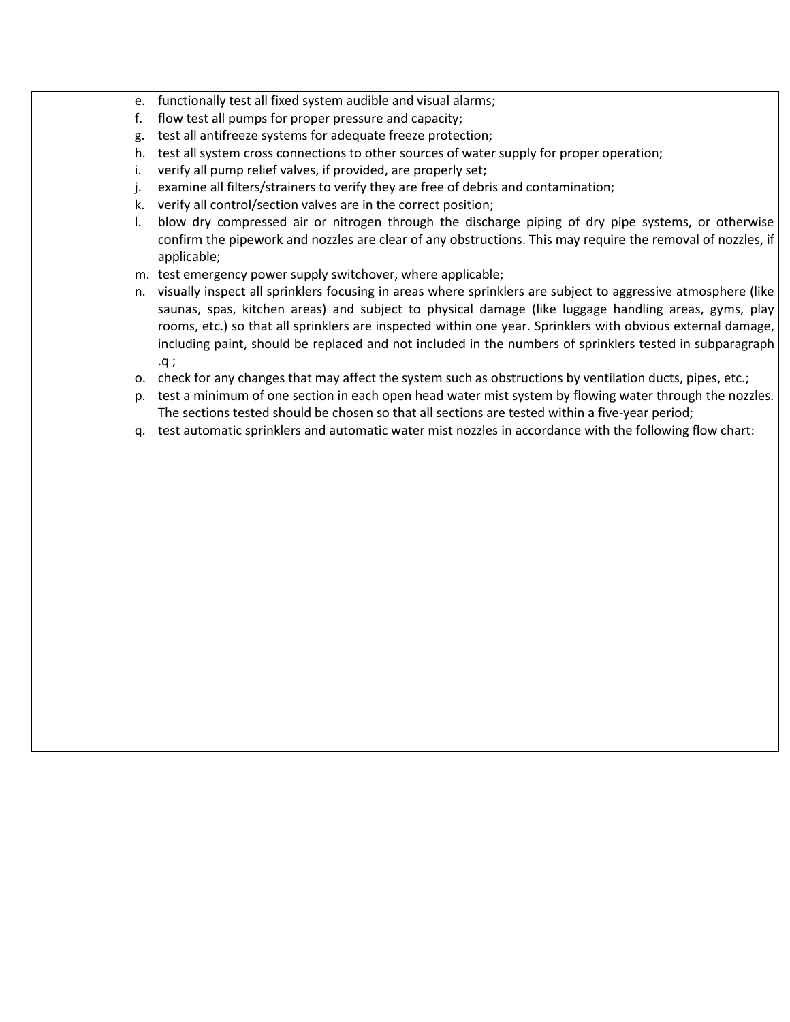- e. functionally test all fixed system audible and visual alarms;
- f. flow test all pumps for proper pressure and capacity;
- g. test all antifreeze systems for adequate freeze protection;
- h. test all system cross connections to other sources of water supply for proper operation;
- i. verify all pump relief valves, if provided, are properly set;
- j. examine all filters/strainers to verify they are free of debris and contamination;
- k. verify all control/section valves are in the correct position;
- l. blow dry compressed air or nitrogen through the discharge piping of dry pipe systems, or otherwise confirm the pipework and nozzles are clear of any obstructions. This may require the removal of nozzles, if applicable;
- m. test emergency power supply switchover, where applicable;
- n. visually inspect all sprinklers focusing in areas where sprinklers are subject to aggressive atmosphere (like saunas, spas, kitchen areas) and subject to physical damage (like luggage handling areas, gyms, play rooms, etc.) so that all sprinklers are inspected within one year. Sprinklers with obvious external damage, including paint, should be replaced and not included in the numbers of sprinklers tested in subparagraph .q ;
- o. check for any changes that may affect the system such as obstructions by ventilation ducts, pipes, etc.;
- p. test a minimum of one section in each open head water mist system by flowing water through the nozzles. The sections tested should be chosen so that all sections are tested within a five-year period;
- q. test automatic sprinklers and automatic water mist nozzles in accordance with the following flow chart: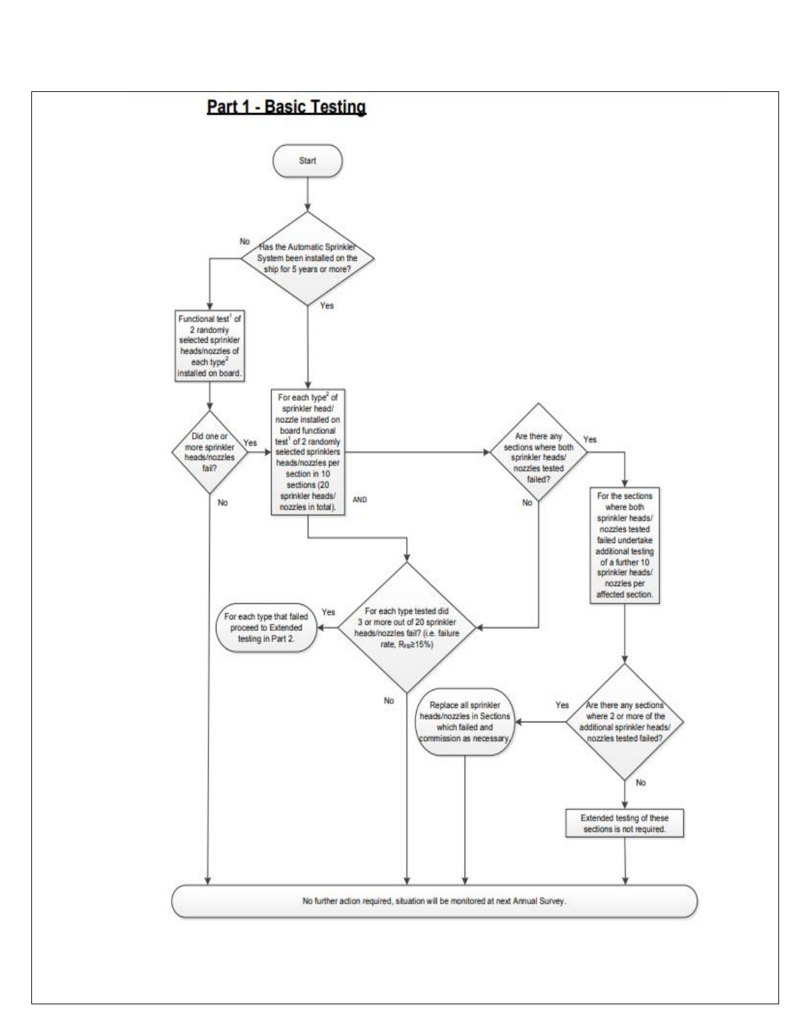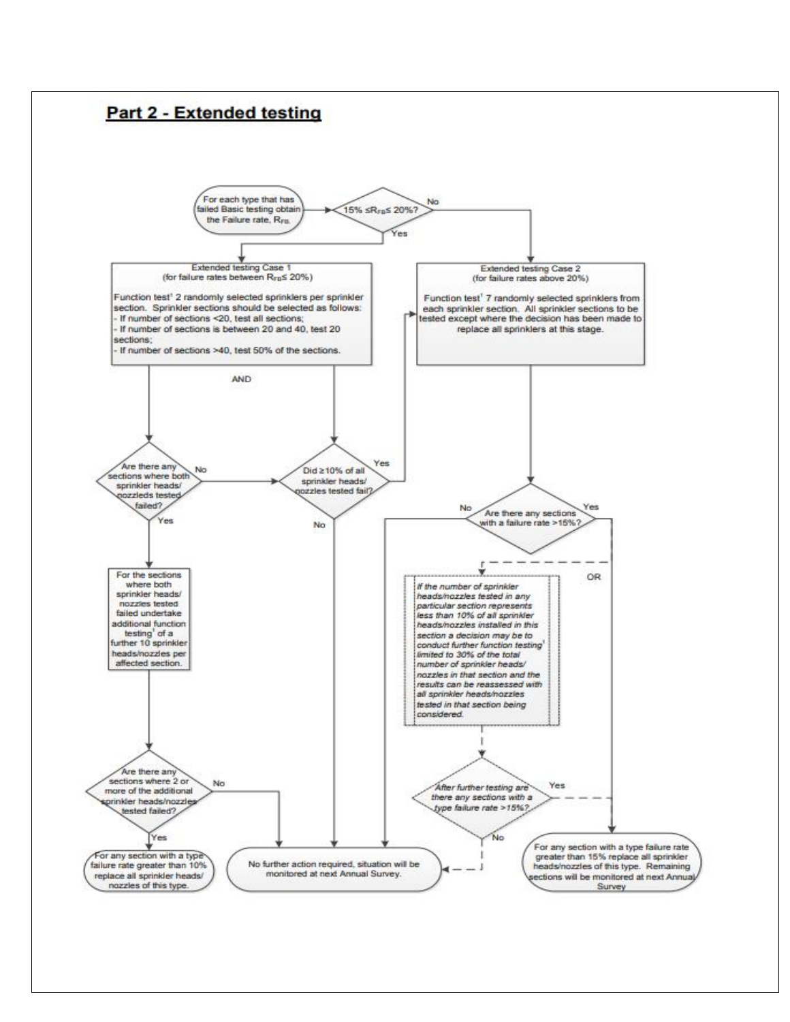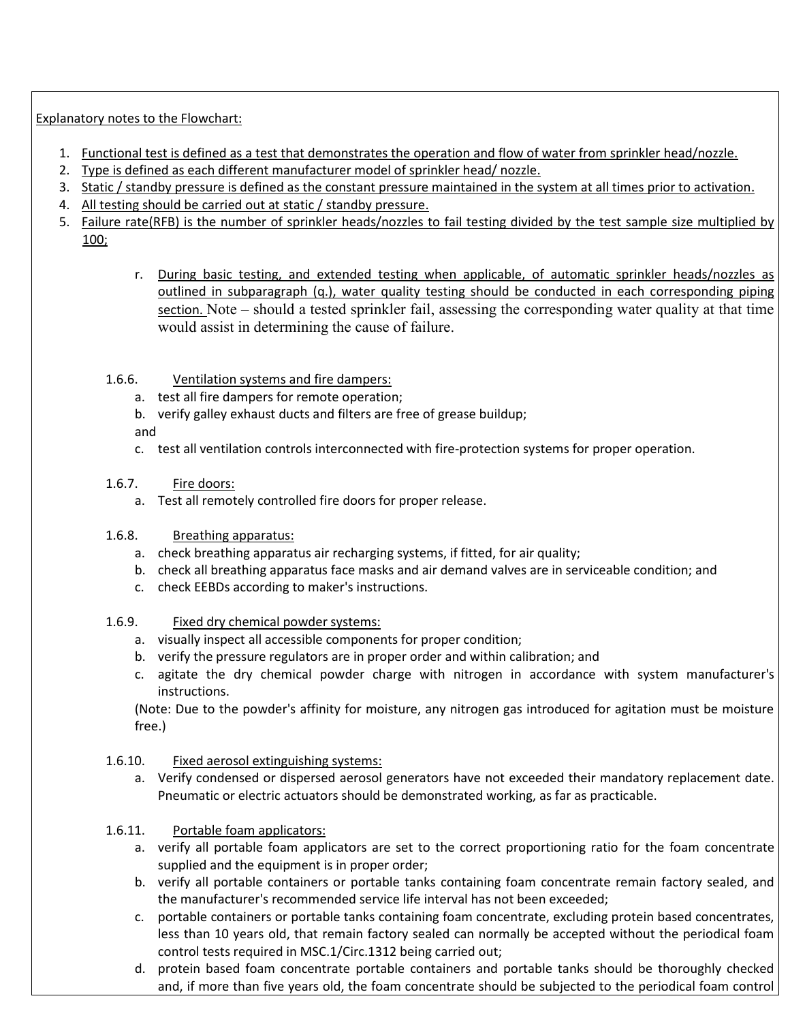Explanatory notes to the Flowchart:

- 1. Functional test is defined as a test that demonstrates the operation and flow of water from sprinkler head/nozzle.
- 2. Type is defined as each different manufacturer model of sprinkler head/ nozzle.
- 3. Static / standby pressure is defined as the constant pressure maintained in the system at all times prior to activation.
- 4. All testing should be carried out at static / standby pressure.
- 5. Failure rate(RFB) is the number of sprinkler heads/nozzles to fail testing divided by the test sample size multiplied by 100;
	- r. During basic testing, and extended testing when applicable, of automatic sprinkler heads/nozzles as outlined in subparagraph (q.), water quality testing should be conducted in each corresponding piping section. Note – should a tested sprinkler fail, assessing the corresponding water quality at that time would assist in determining the cause of failure.
	- 1.6.6. Ventilation systems and fire dampers:
		- a. test all fire dampers for remote operation;
		- b. verify galley exhaust ducts and filters are free of grease buildup;

and

- c. test all ventilation controls interconnected with fire-protection systems for proper operation.
- 1.6.7. Fire doors:
	- a. Test all remotely controlled fire doors for proper release.
- 1.6.8. Breathing apparatus:
	- a. check breathing apparatus air recharging systems, if fitted, for air quality;
	- b. check all breathing apparatus face masks and air demand valves are in serviceable condition; and
	- c. check EEBDs according to maker's instructions.
- 1.6.9. Fixed dry chemical powder systems:
	- a. visually inspect all accessible components for proper condition;
	- b. verify the pressure regulators are in proper order and within calibration; and
	- c. agitate the dry chemical powder charge with nitrogen in accordance with system manufacturer's instructions.

(Note: Due to the powder's affinity for moisture, any nitrogen gas introduced for agitation must be moisture free.)

- 1.6.10. Fixed aerosol extinguishing systems:
	- a. Verify condensed or dispersed aerosol generators have not exceeded their mandatory replacement date. Pneumatic or electric actuators should be demonstrated working, as far as practicable.
- 1.6.11. Portable foam applicators:
	- a. verify all portable foam applicators are set to the correct proportioning ratio for the foam concentrate supplied and the equipment is in proper order;
	- b. verify all portable containers or portable tanks containing foam concentrate remain factory sealed, and the manufacturer's recommended service life interval has not been exceeded;
	- c. portable containers or portable tanks containing foam concentrate, excluding protein based concentrates, less than 10 years old, that remain factory sealed can normally be accepted without the periodical foam control tests required in MSC.1/Circ.1312 being carried out;
	- d. protein based foam concentrate portable containers and portable tanks should be thoroughly checked and, if more than five years old, the foam concentrate should be subjected to the periodical foam control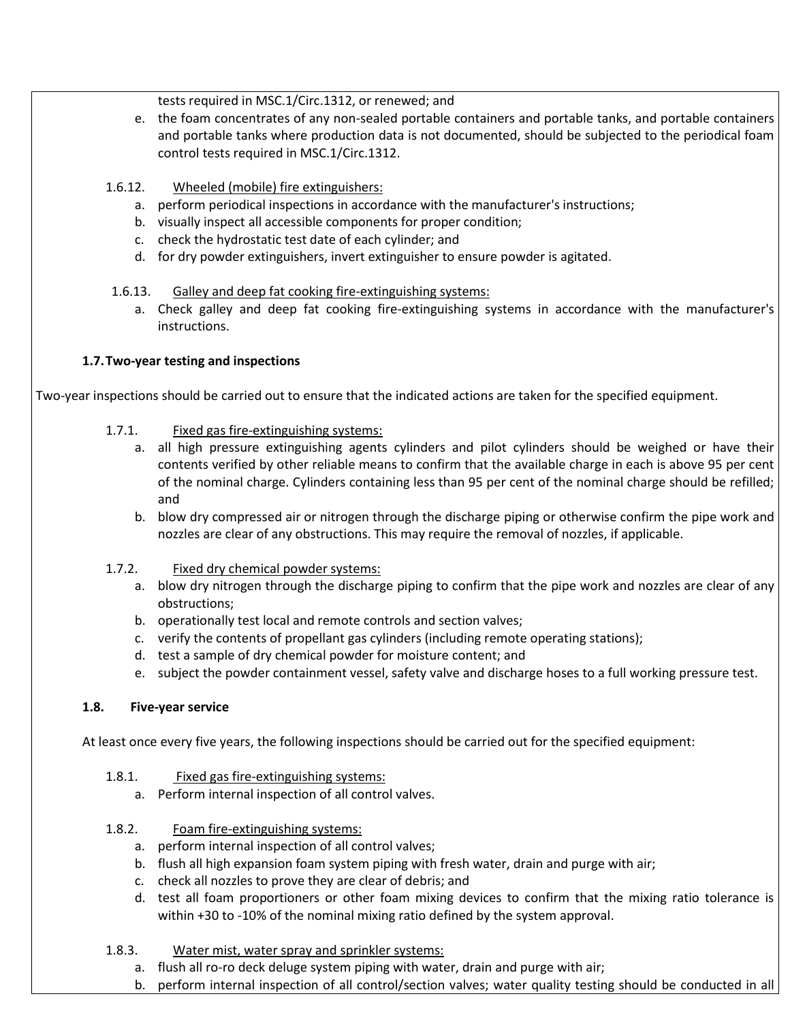tests required in MSC.1/Circ.1312, or renewed; and

- e. the foam concentrates of any non-sealed portable containers and portable tanks, and portable containers and portable tanks where production data is not documented, should be subjected to the periodical foam control tests required in MSC.1/Circ.1312.
- 1.6.12. Wheeled (mobile) fire extinguishers:
	- a. perform periodical inspections in accordance with the manufacturer's instructions;
	- b. visually inspect all accessible components for proper condition;
	- c. check the hydrostatic test date of each cylinder; and
	- d. for dry powder extinguishers, invert extinguisher to ensure powder is agitated.
- 1.6.13. Galley and deep fat cooking fire-extinguishing systems:
	- a. Check galley and deep fat cooking fire-extinguishing systems in accordance with the manufacturer's instructions.

### **1.7.Two-year testing and inspections**

Two-year inspections should be carried out to ensure that the indicated actions are taken for the specified equipment.

## 1.7.1. Fixed gas fire-extinguishing systems:

- a. all high pressure extinguishing agents cylinders and pilot cylinders should be weighed or have their contents verified by other reliable means to confirm that the available charge in each is above 95 per cent of the nominal charge. Cylinders containing less than 95 per cent of the nominal charge should be refilled; and
- b. blow dry compressed air or nitrogen through the discharge piping or otherwise confirm the pipe work and nozzles are clear of any obstructions. This may require the removal of nozzles, if applicable.
- 1.7.2. Fixed dry chemical powder systems:
	- a. blow dry nitrogen through the discharge piping to confirm that the pipe work and nozzles are clear of any obstructions;
	- b. operationally test local and remote controls and section valves;
	- c. verify the contents of propellant gas cylinders (including remote operating stations);
	- d. test a sample of dry chemical powder for moisture content; and
	- e. subject the powder containment vessel, safety valve and discharge hoses to a full working pressure test.

#### **1.8. Five-year service**

At least once every five years, the following inspections should be carried out for the specified equipment:

- 1.8.1. Fixed gas fire-extinguishing systems:
	- a. Perform internal inspection of all control valves.
- 1.8.2. Foam fire-extinguishing systems:
	- a. perform internal inspection of all control valves;
	- b. flush all high expansion foam system piping with fresh water, drain and purge with air;
	- c. check all nozzles to prove they are clear of debris; and
	- d. test all foam proportioners or other foam mixing devices to confirm that the mixing ratio tolerance is within +30 to -10% of the nominal mixing ratio defined by the system approval.
- 1.8.3. Water mist, water spray and sprinkler systems:
	- a. flush all ro-ro deck deluge system piping with water, drain and purge with air;
	- b. perform internal inspection of all control/section valves; water quality testing should be conducted in all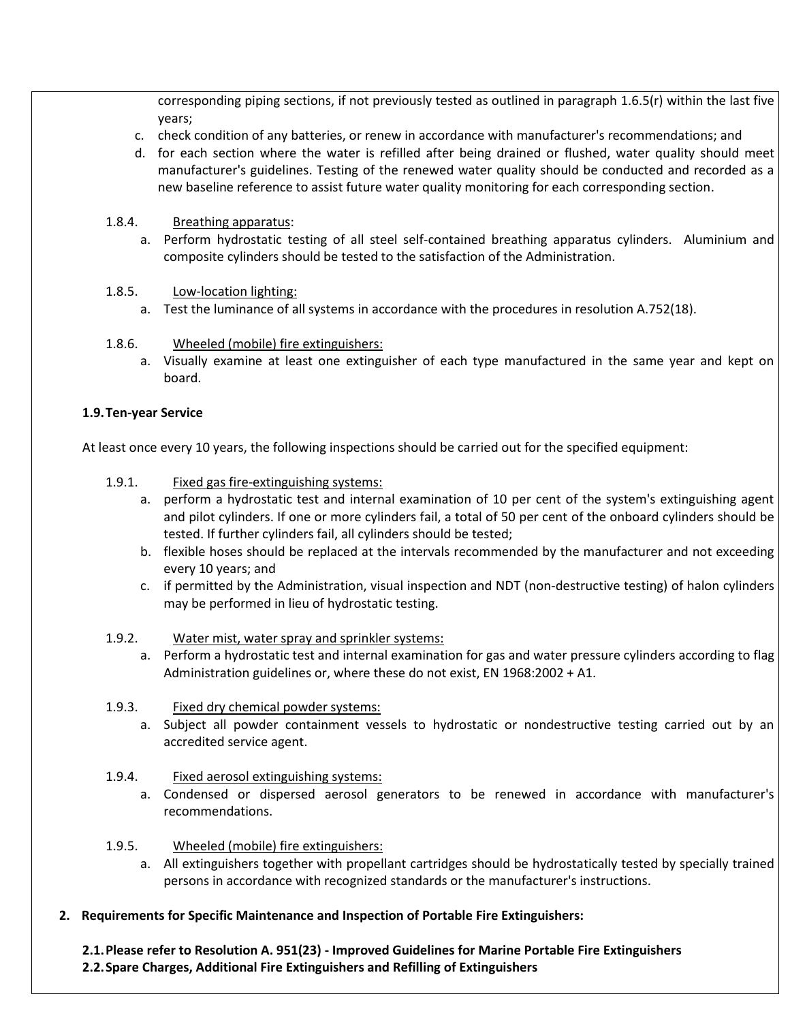corresponding piping sections, if not previously tested as outlined in paragraph 1.6.5(r) within the last five years;

- c. check condition of any batteries, or renew in accordance with manufacturer's recommendations; and
- d. for each section where the water is refilled after being drained or flushed, water quality should meet manufacturer's guidelines. Testing of the renewed water quality should be conducted and recorded as a new baseline reference to assist future water quality monitoring for each corresponding section.
- 1.8.4. Breathing apparatus:
	- a. Perform hydrostatic testing of all steel self-contained breathing apparatus cylinders. Aluminium and composite cylinders should be tested to the satisfaction of the Administration.
- 1.8.5. Low-location lighting:
	- a. Test the luminance of all systems in accordance with the procedures in resolution A.752(18).
- 1.8.6. Wheeled (mobile) fire extinguishers:
	- a. Visually examine at least one extinguisher of each type manufactured in the same year and kept on board.

### **1.9.Ten-year Service**

At least once every 10 years, the following inspections should be carried out for the specified equipment:

- 1.9.1. Fixed gas fire-extinguishing systems:
	- a. perform a hydrostatic test and internal examination of 10 per cent of the system's extinguishing agent and pilot cylinders. If one or more cylinders fail, a total of 50 per cent of the onboard cylinders should be tested. If further cylinders fail, all cylinders should be tested;
	- b. flexible hoses should be replaced at the intervals recommended by the manufacturer and not exceeding every 10 years; and
	- c. if permitted by the Administration, visual inspection and NDT (non-destructive testing) of halon cylinders may be performed in lieu of hydrostatic testing.

#### 1.9.2. Water mist, water spray and sprinkler systems:

- a. Perform a hydrostatic test and internal examination for gas and water pressure cylinders according to flag Administration guidelines or, where these do not exist, EN 1968:2002 + A1.
- 1.9.3. Fixed dry chemical powder systems:
	- a. Subject all powder containment vessels to hydrostatic or nondestructive testing carried out by an accredited service agent.
- 1.9.4. Fixed aerosol extinguishing systems:
	- a. Condensed or dispersed aerosol generators to be renewed in accordance with manufacturer's recommendations.
- 1.9.5. Wheeled (mobile) fire extinguishers:
	- a. All extinguishers together with propellant cartridges should be hydrostatically tested by specially trained persons in accordance with recognized standards or the manufacturer's instructions.
- **2. Requirements for Specific Maintenance and Inspection of Portable Fire Extinguishers:**

**2.1.Please refer to Resolution A. 951(23) - Improved Guidelines for Marine Portable Fire Extinguishers 2.2.Spare Charges, Additional Fire Extinguishers and Refilling of Extinguishers**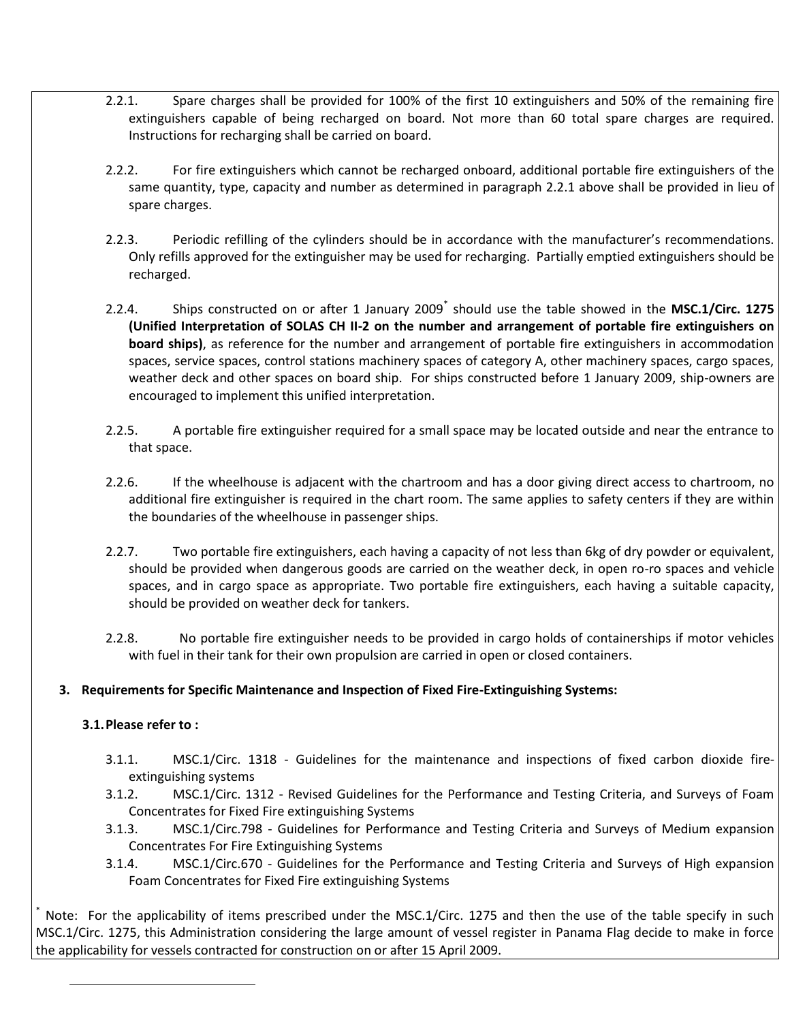- 2.2.1. Spare charges shall be provided for 100% of the first 10 extinguishers and 50% of the remaining fire extinguishers capable of being recharged on board. Not more than 60 total spare charges are required. Instructions for recharging shall be carried on board.
- 2.2.2. For fire extinguishers which cannot be recharged onboard, additional portable fire extinguishers of the same quantity, type, capacity and number as determined in paragraph 2.2.1 above shall be provided in lieu of spare charges.
- 2.2.3. Periodic refilling of the cylinders should be in accordance with the manufacturer's recommendations. Only refills approved for the extinguisher may be used for recharging. Partially emptied extinguishers should be recharged.
- 2.2.4. Ships constructed on or after 1 January 2009\* should use the table showed in the **MSC.1/Circ. 1275 (Unified Interpretation of SOLAS CH II-2 on the number and arrangement of portable fire extinguishers on board ships)**, as reference for the number and arrangement of portable fire extinguishers in accommodation spaces, service spaces, control stations machinery spaces of category A, other machinery spaces, cargo spaces, weather deck and other spaces on board ship. For ships constructed before 1 January 2009, ship-owners are encouraged to implement this unified interpretation.
- 2.2.5. A portable fire extinguisher required for a small space may be located outside and near the entrance to that space.
- 2.2.6. If the wheelhouse is adjacent with the chartroom and has a door giving direct access to chartroom, no additional fire extinguisher is required in the chart room. The same applies to safety centers if they are within the boundaries of the wheelhouse in passenger ships.
- 2.2.7. Two portable fire extinguishers, each having a capacity of not less than 6kg of dry powder or equivalent, should be provided when dangerous goods are carried on the weather deck, in open ro-ro spaces and vehicle spaces, and in cargo space as appropriate. Two portable fire extinguishers, each having a suitable capacity, should be provided on weather deck for tankers.
- 2.2.8. No portable fire extinguisher needs to be provided in cargo holds of containerships if motor vehicles with fuel in their tank for their own propulsion are carried in open or closed containers.

## **3. Requirements for Specific Maintenance and Inspection of Fixed Fire-Extinguishing Systems:**

## **3.1.Please refer to :**

 $\overline{a}$ 

- 3.1.1. MSC.1/Circ. 1318 Guidelines for the maintenance and inspections of fixed carbon dioxide fireextinguishing systems
- 3.1.2. MSC.1/Circ. 1312 Revised Guidelines for the Performance and Testing Criteria, and Surveys of Foam Concentrates for Fixed Fire extinguishing Systems
- 3.1.3. MSC.1/Circ.798 Guidelines for Performance and Testing Criteria and Surveys of Medium expansion Concentrates For Fire Extinguishing Systems
- 3.1.4. MSC.1/Circ.670 Guidelines for the Performance and Testing Criteria and Surveys of High expansion Foam Concentrates for Fixed Fire extinguishing Systems

Note: For the applicability of items prescribed under the MSC.1/Circ. 1275 and then the use of the table specify in such MSC.1/Circ. 1275, this Administration considering the large amount of vessel register in Panama Flag decide to make in force the applicability for vessels contracted for construction on or after 15 April 2009.